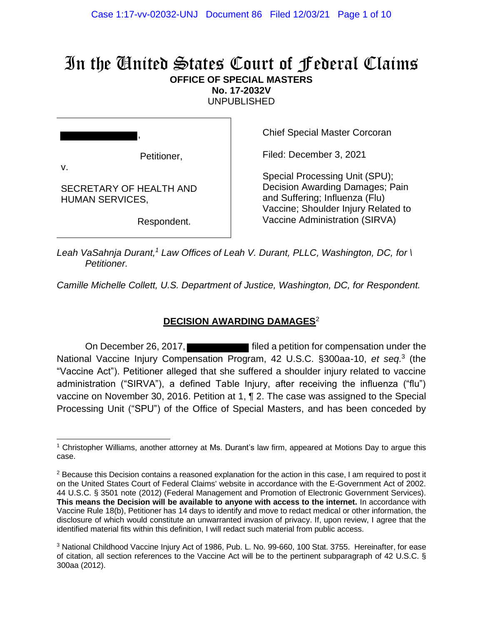# In the United States Court of Federal Claims **OFFICE OF SPECIAL MASTERS**

**No. 17-2032V**

UNPUBLISHED

Petitioner,

,

SECRETARY OF HEALTH AND

HUMAN SERVICES,

v.

Chief Special Master Corcoran

Filed: December 3, 2021

Special Processing Unit (SPU); Decision Awarding Damages; Pain and Suffering; Influenza (Flu) Vaccine; Shoulder Injury Related to Vaccine Administration (SIRVA)

Respondent.

*Leah VaSahnja Durant,<sup>1</sup> Law Offices of Leah V. Durant, PLLC, Washington, DC, for \ Petitioner.*

*Camille Michelle Collett, U.S. Department of Justice, Washington, DC, for Respondent.*

## **DECISION AWARDING DAMAGES**<sup>2</sup>

On December 26, 2017, **Fig. 2017** filed a petition for compensation under the National Vaccine Injury Compensation Program, 42 U.S.C. §300aa-10, et seq.<sup>3</sup> (the "Vaccine Act"). Petitioner alleged that she suffered a shoulder injury related to vaccine administration ("SIRVA"), a defined Table Injury, after receiving the influenza ("flu") vaccine on November 30, 2016. Petition at 1, ¶ 2. The case was assigned to the Special Processing Unit ("SPU") of the Office of Special Masters, and has been conceded by

<sup>1</sup> Christopher Williams, another attorney at Ms. Durant's law firm, appeared at Motions Day to argue this case.

 $2$  Because this Decision contains a reasoned explanation for the action in this case, I am required to post it on the United States Court of Federal Claims' website in accordance with the E-Government Act of 2002. 44 U.S.C. § 3501 note (2012) (Federal Management and Promotion of Electronic Government Services). **This means the Decision will be available to anyone with access to the internet.** In accordance with Vaccine Rule 18(b), Petitioner has 14 days to identify and move to redact medical or other information, the disclosure of which would constitute an unwarranted invasion of privacy. If, upon review, I agree that the identified material fits within this definition, I will redact such material from public access.

<sup>3</sup> National Childhood Vaccine Injury Act of 1986, Pub. L. No. 99-660, 100 Stat. 3755. Hereinafter, for ease of citation, all section references to the Vaccine Act will be to the pertinent subparagraph of 42 U.S.C. § 300aa (2012).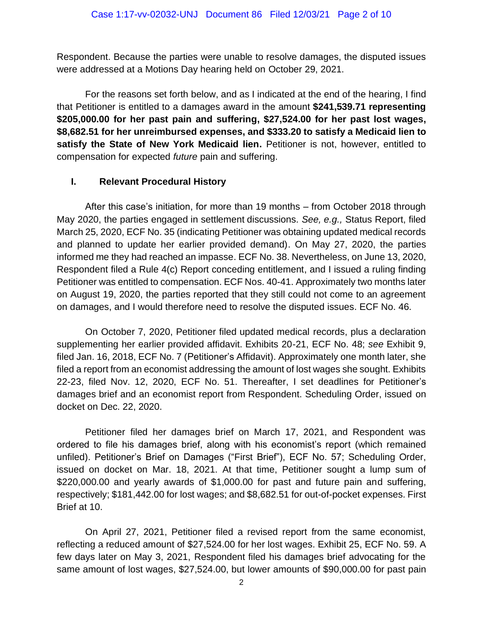Respondent. Because the parties were unable to resolve damages, the disputed issues were addressed at a Motions Day hearing held on October 29, 2021.

For the reasons set forth below, and as I indicated at the end of the hearing, I find that Petitioner is entitled to a damages award in the amount **\$241,539.71 representing \$205,000.00 for her past pain and suffering, \$27,524.00 for her past lost wages, \$8,682.51 for her unreimbursed expenses, and \$333.20 to satisfy a Medicaid lien to satisfy the State of New York Medicaid lien.** Petitioner is not, however, entitled to compensation for expected *future* pain and suffering.

### **I. Relevant Procedural History**

After this case's initiation, for more than 19 months – from October 2018 through May 2020, the parties engaged in settlement discussions. *See, e.g.,* Status Report, filed March 25, 2020, ECF No. 35 (indicating Petitioner was obtaining updated medical records and planned to update her earlier provided demand). On May 27, 2020, the parties informed me they had reached an impasse. ECF No. 38. Nevertheless, on June 13, 2020, Respondent filed a Rule 4(c) Report conceding entitlement, and I issued a ruling finding Petitioner was entitled to compensation. ECF Nos. 40-41. Approximately two months later on August 19, 2020, the parties reported that they still could not come to an agreement on damages, and I would therefore need to resolve the disputed issues. ECF No. 46.

On October 7, 2020, Petitioner filed updated medical records, plus a declaration supplementing her earlier provided affidavit. Exhibits 20-21, ECF No. 48; *see* Exhibit 9, filed Jan. 16, 2018, ECF No. 7 (Petitioner's Affidavit). Approximately one month later, she filed a report from an economist addressing the amount of lost wages she sought. Exhibits 22-23, filed Nov. 12, 2020, ECF No. 51. Thereafter, I set deadlines for Petitioner's damages brief and an economist report from Respondent. Scheduling Order, issued on docket on Dec. 22, 2020.

Petitioner filed her damages brief on March 17, 2021, and Respondent was ordered to file his damages brief, along with his economist's report (which remained unfiled). Petitioner's Brief on Damages ("First Brief"), ECF No. 57; Scheduling Order, issued on docket on Mar. 18, 2021. At that time, Petitioner sought a lump sum of \$220,000.00 and yearly awards of \$1,000.00 for past and future pain and suffering, respectively; \$181,442.00 for lost wages; and \$8,682.51 for out-of-pocket expenses. First Brief at 10.

On April 27, 2021, Petitioner filed a revised report from the same economist, reflecting a reduced amount of \$27,524.00 for her lost wages. Exhibit 25, ECF No. 59. A few days later on May 3, 2021, Respondent filed his damages brief advocating for the same amount of lost wages, \$27,524.00, but lower amounts of \$90,000.00 for past pain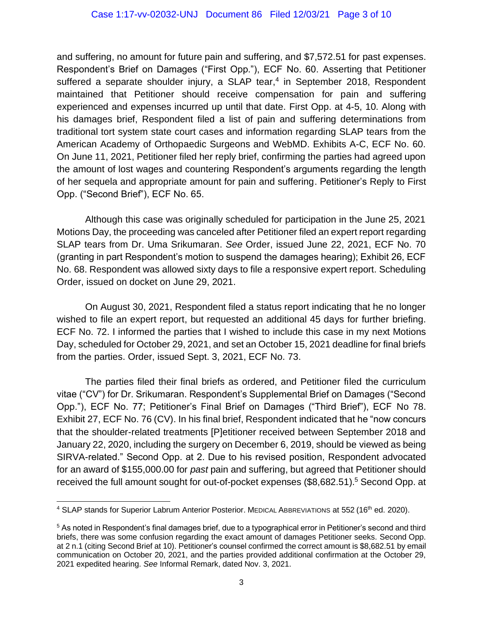and suffering, no amount for future pain and suffering, and \$7,572.51 for past expenses. Respondent's Brief on Damages ("First Opp."), ECF No. 60. Asserting that Petitioner suffered a separate shoulder injury, a SLAP tear,<sup>4</sup> in September 2018, Respondent maintained that Petitioner should receive compensation for pain and suffering experienced and expenses incurred up until that date. First Opp. at 4-5, 10. Along with his damages brief, Respondent filed a list of pain and suffering determinations from traditional tort system state court cases and information regarding SLAP tears from the American Academy of Orthopaedic Surgeons and WebMD. Exhibits A-C, ECF No. 60. On June 11, 2021, Petitioner filed her reply brief, confirming the parties had agreed upon the amount of lost wages and countering Respondent's arguments regarding the length of her sequela and appropriate amount for pain and suffering. Petitioner's Reply to First Opp. ("Second Brief"), ECF No. 65.

Although this case was originally scheduled for participation in the June 25, 2021 Motions Day, the proceeding was canceled after Petitioner filed an expert report regarding SLAP tears from Dr. Uma Srikumaran. *See* Order, issued June 22, 2021, ECF No. 70 (granting in part Respondent's motion to suspend the damages hearing); Exhibit 26, ECF No. 68. Respondent was allowed sixty days to file a responsive expert report. Scheduling Order, issued on docket on June 29, 2021.

On August 30, 2021, Respondent filed a status report indicating that he no longer wished to file an expert report, but requested an additional 45 days for further briefing. ECF No. 72. I informed the parties that I wished to include this case in my next Motions Day, scheduled for October 29, 2021, and set an October 15, 2021 deadline for final briefs from the parties. Order, issued Sept. 3, 2021, ECF No. 73.

The parties filed their final briefs as ordered, and Petitioner filed the curriculum vitae ("CV") for Dr. Srikumaran. Respondent's Supplemental Brief on Damages ("Second Opp."), ECF No. 77; Petitioner's Final Brief on Damages ("Third Brief"), ECF No 78. Exhibit 27, ECF No. 76 (CV). In his final brief, Respondent indicated that he "now concurs that the shoulder-related treatments [P]etitioner received between September 2018 and January 22, 2020, including the surgery on December 6, 2019, should be viewed as being SIRVA-related." Second Opp. at 2. Due to his revised position, Respondent advocated for an award of \$155,000.00 for *past* pain and suffering, but agreed that Petitioner should received the full amount sought for out-of-pocket expenses (\$8,682.51).<sup>5</sup> Second Opp. at

<sup>&</sup>lt;sup>4</sup> SLAP stands for Superior Labrum Anterior Posterior. MEDICAL ABBREVIATIONS at 552 (16<sup>th</sup> ed. 2020).

<sup>5</sup> As noted in Respondent's final damages brief, due to a typographical error in Petitioner's second and third briefs, there was some confusion regarding the exact amount of damages Petitioner seeks. Second Opp. at 2 n.1 (citing Second Brief at 10). Petitioner's counsel confirmed the correct amount is \$8,682.51 by email communication on October 20, 2021, and the parties provided additional confirmation at the October 29, 2021 expedited hearing. *See* Informal Remark, dated Nov. 3, 2021.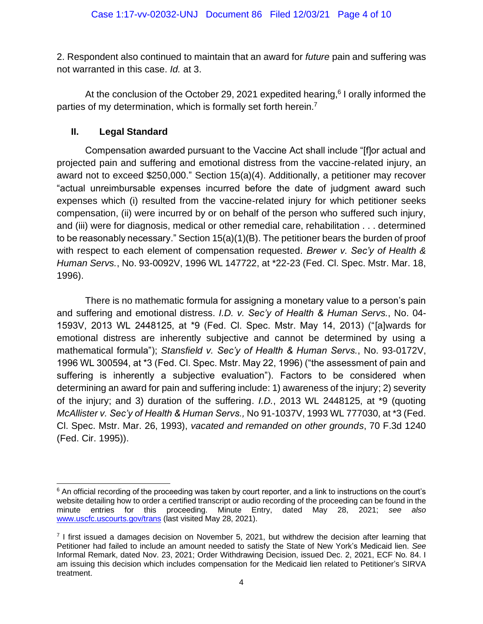2. Respondent also continued to maintain that an award for *future* pain and suffering was not warranted in this case. *Id.* at 3.

At the conclusion of the October 29, 2021 expedited hearing,<sup>6</sup> I orally informed the parties of my determination, which is formally set forth herein.<sup>7</sup>

## **II. Legal Standard**

Compensation awarded pursuant to the Vaccine Act shall include "[f]or actual and projected pain and suffering and emotional distress from the vaccine-related injury, an award not to exceed \$250,000." Section 15(a)(4). Additionally, a petitioner may recover "actual unreimbursable expenses incurred before the date of judgment award such expenses which (i) resulted from the vaccine-related injury for which petitioner seeks compensation, (ii) were incurred by or on behalf of the person who suffered such injury, and (iii) were for diagnosis, medical or other remedial care, rehabilitation . . . determined to be reasonably necessary." Section 15(a)(1)(B). The petitioner bears the burden of proof with respect to each element of compensation requested. *Brewer v. Sec'y of Health & Human Servs.*, No. 93-0092V, 1996 WL 147722, at \*22-23 (Fed. Cl. Spec. Mstr. Mar. 18, 1996).

There is no mathematic formula for assigning a monetary value to a person's pain and suffering and emotional distress. *I.D. v. Sec'y of Health & Human Servs.*, No. 04- 1593V, 2013 WL 2448125, at \*9 (Fed. Cl. Spec. Mstr. May 14, 2013) ("[a]wards for emotional distress are inherently subjective and cannot be determined by using a mathematical formula"); *Stansfield v. Sec'y of Health & Human Servs.*, No. 93-0172V, 1996 WL 300594, at \*3 (Fed. Cl. Spec. Mstr. May 22, 1996) ("the assessment of pain and suffering is inherently a subjective evaluation"). Factors to be considered when determining an award for pain and suffering include: 1) awareness of the injury; 2) severity of the injury; and 3) duration of the suffering. *I.D.*, 2013 WL 2448125, at \*9 (quoting *McAllister v. Sec'y of Health & Human Servs.,* No 91-1037V, 1993 WL 777030, at \*3 (Fed. Cl. Spec. Mstr. Mar. 26, 1993), *vacated and remanded on other grounds*, 70 F.3d 1240 (Fed. Cir. 1995)).

<sup>&</sup>lt;sup>6</sup> An official recording of the proceeding was taken by court reporter, and a link to instructions on the court's website detailing how to order a certified transcript or audio recording of the proceeding can be found in the minute entries for this proceeding. Minute Entry, dated May 28, 2021; *see also*  [www.uscfc.uscourts.gov/trans](http://www.uscfc.uscourts.gov/trans) (last visited May 28, 2021).

 $<sup>7</sup>$  I first issued a damages decision on November 5, 2021, but withdrew the decision after learning that</sup> Petitioner had failed to include an amount needed to satisfy the State of New York's Medicaid lien. *See*  Informal Remark, dated Nov. 23, 2021; Order Withdrawing Decision, issued Dec. 2, 2021, ECF No. 84. I am issuing this decision which includes compensation for the Medicaid lien related to Petitioner's SIRVA treatment.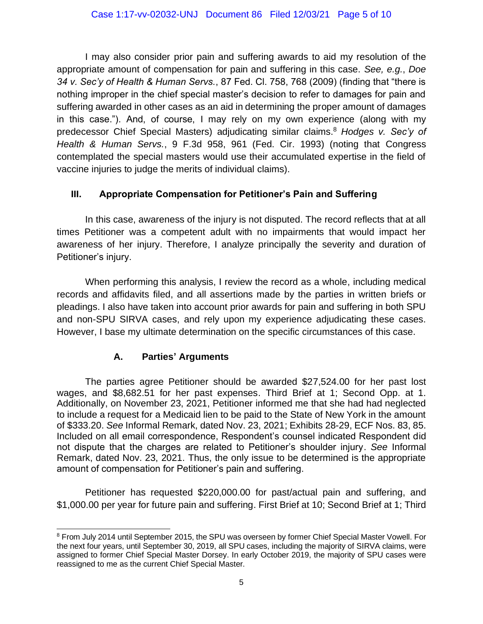I may also consider prior pain and suffering awards to aid my resolution of the appropriate amount of compensation for pain and suffering in this case. *See, e.g.*, *Doe 34 v. Sec'y of Health & Human Servs.*, 87 Fed. Cl. 758, 768 (2009) (finding that "there is nothing improper in the chief special master's decision to refer to damages for pain and suffering awarded in other cases as an aid in determining the proper amount of damages in this case."). And, of course, I may rely on my own experience (along with my predecessor Chief Special Masters) adjudicating similar claims.<sup>8</sup> *Hodges v. Sec'y of Health & Human Servs.*, 9 F.3d 958, 961 (Fed. Cir. 1993) (noting that Congress contemplated the special masters would use their accumulated expertise in the field of vaccine injuries to judge the merits of individual claims).

# **III. Appropriate Compensation for Petitioner's Pain and Suffering**

In this case, awareness of the injury is not disputed. The record reflects that at all times Petitioner was a competent adult with no impairments that would impact her awareness of her injury. Therefore, I analyze principally the severity and duration of Petitioner's injury.

When performing this analysis, I review the record as a whole, including medical records and affidavits filed, and all assertions made by the parties in written briefs or pleadings. I also have taken into account prior awards for pain and suffering in both SPU and non-SPU SIRVA cases, and rely upon my experience adjudicating these cases. However, I base my ultimate determination on the specific circumstances of this case.

# **A. Parties' Arguments**

The parties agree Petitioner should be awarded \$27,524.00 for her past lost wages, and \$8,682.51 for her past expenses. Third Brief at 1; Second Opp. at 1. Additionally, on November 23, 2021, Petitioner informed me that she had had neglected to include a request for a Medicaid lien to be paid to the State of New York in the amount of \$333.20. *See* Informal Remark, dated Nov. 23, 2021; Exhibits 28-29, ECF Nos. 83, 85. Included on all email correspondence, Respondent's counsel indicated Respondent did not dispute that the charges are related to Petitioner's shoulder injury. *See* Informal Remark, dated Nov. 23, 2021. Thus, the only issue to be determined is the appropriate amount of compensation for Petitioner's pain and suffering.

Petitioner has requested \$220,000.00 for past/actual pain and suffering, and \$1,000.00 per year for future pain and suffering. First Brief at 10; Second Brief at 1; Third

<sup>8</sup> From July 2014 until September 2015, the SPU was overseen by former Chief Special Master Vowell. For the next four years, until September 30, 2019, all SPU cases, including the majority of SIRVA claims, were assigned to former Chief Special Master Dorsey. In early October 2019, the majority of SPU cases were reassigned to me as the current Chief Special Master.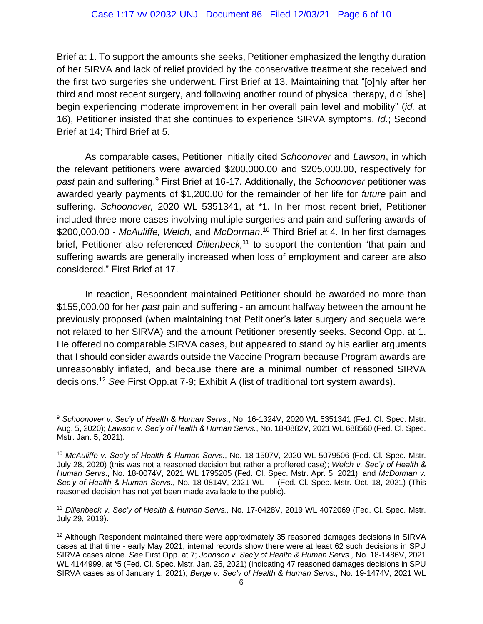Brief at 1. To support the amounts she seeks, Petitioner emphasized the lengthy duration of her SIRVA and lack of relief provided by the conservative treatment she received and the first two surgeries she underwent. First Brief at 13. Maintaining that "[o]nly after her third and most recent surgery, and following another round of physical therapy, did [she] begin experiencing moderate improvement in her overall pain level and mobility" (*id.* at 16), Petitioner insisted that she continues to experience SIRVA symptoms. *Id.*; Second Brief at 14; Third Brief at 5.

As comparable cases, Petitioner initially cited *Schoonover* and *Lawson*, in which the relevant petitioners were awarded \$200,000.00 and \$205,000.00, respectively for *past* pain and suffering.<sup>9</sup> First Brief at 16-17. Additionally, the *Schoonover* petitioner was awarded yearly payments of \$1,200.00 for the remainder of her life for *future* pain and suffering. *Schoonover,* 2020 WL 5351341, at \*1. In her most recent brief, Petitioner included three more cases involving multiple surgeries and pain and suffering awards of \$200,000.00 - *McAuliffe, Welch,* and *McDorman*. <sup>10</sup> Third Brief at 4. In her first damages brief, Petitioner also referenced *Dillenbeck,* <sup>11</sup> to support the contention "that pain and suffering awards are generally increased when loss of employment and career are also considered." First Brief at 17.

In reaction, Respondent maintained Petitioner should be awarded no more than \$155,000.00 for her *past* pain and suffering - an amount halfway between the amount he previously proposed (when maintaining that Petitioner's later surgery and sequela were not related to her SIRVA) and the amount Petitioner presently seeks. Second Opp. at 1. He offered no comparable SIRVA cases, but appeared to stand by his earlier arguments that I should consider awards outside the Vaccine Program because Program awards are unreasonably inflated, and because there are a minimal number of reasoned SIRVA decisions. <sup>12</sup> *See* First Opp.at 7-9; Exhibit A (list of traditional tort system awards).

<sup>9</sup> *Schoonover v. Sec'y of Health & Human Servs*., No. 16-1324V, 2020 WL 5351341 (Fed. Cl. Spec. Mstr. Aug. 5, 2020); *Lawson v. Sec'y of Health & Human Servs.*, No. 18-0882V, 2021 WL 688560 (Fed. Cl. Spec. Mstr. Jan. 5, 2021).

<sup>10</sup> *McAuliffe v. Sec'y of Health & Human Servs*., No. 18-1507V, 2020 WL 5079506 (Fed. Cl. Spec. Mstr. July 28, 2020) (this was not a reasoned decision but rather a proffered case); *Welch v. Sec'y of Health & Human Servs*., No. 18-0074V, 2021 WL 1795205 (Fed. Cl. Spec. Mstr. Apr. 5, 2021); and *McDorman v. Sec'y of Health & Human Servs*., No. 18-0814V, 2021 WL --- (Fed. Cl. Spec. Mstr. Oct. 18, 2021) (This reasoned decision has not yet been made available to the public).

<sup>11</sup> *Dillenbeck v. Sec'y of Health & Human Servs.,* No. 17-0428V, 2019 WL 4072069 (Fed. Cl. Spec. Mstr. July 29, 2019).

<sup>&</sup>lt;sup>12</sup> Although Respondent maintained there were approximately 35 reasoned damages decisions in SIRVA cases at that time - early May 2021, internal records show there were at least 62 such decisions in SPU SIRVA cases alone. *See* First Opp. at 7; *Johnson v. Sec'y of Health & Human Servs.,* No. 18-1486V, 2021 WL 4144999, at \*5 (Fed. Cl. Spec. Mstr. Jan. 25, 2021) (indicating 47 reasoned damages decisions in SPU SIRVA cases as of January 1, 2021); *Berge v. Sec'y of Health & Human Servs.,* No. 19-1474V, 2021 WL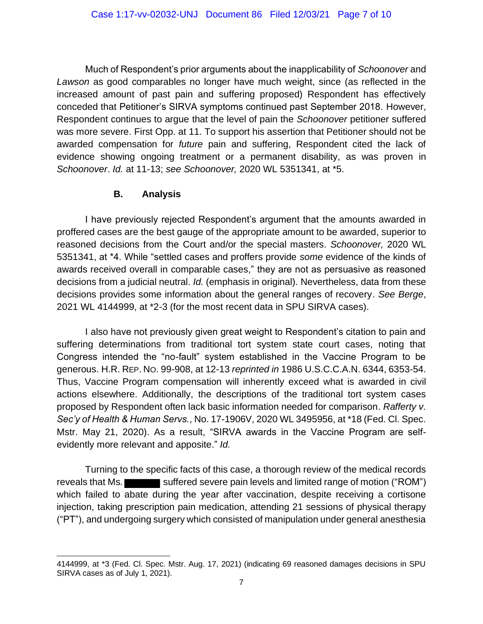Much of Respondent's prior arguments about the inapplicability of *Schoonover* and *Lawson* as good comparables no longer have much weight, since (as reflected in the increased amount of past pain and suffering proposed) Respondent has effectively conceded that Petitioner's SIRVA symptoms continued past September 2018. However, Respondent continues to argue that the level of pain the *Schoonover* petitioner suffered was more severe. First Opp. at 11. To support his assertion that Petitioner should not be awarded compensation for *future* pain and suffering, Respondent cited the lack of evidence showing ongoing treatment or a permanent disability, as was proven in *Schoonover*. *Id.* at 11-13; *see Schoonover,* 2020 WL 5351341, at \*5.

### **B. Analysis**

I have previously rejected Respondent's argument that the amounts awarded in proffered cases are the best gauge of the appropriate amount to be awarded, superior to reasoned decisions from the Court and/or the special masters. *Schoonover,* 2020 WL 5351341, at \*4. While "settled cases and proffers provide *some* evidence of the kinds of awards received overall in comparable cases," they are not as persuasive as reasoned decisions from a judicial neutral. *Id.* (emphasis in original). Nevertheless, data from these decisions provides some information about the general ranges of recovery. *See Berge*, 2021 WL 4144999, at \*2-3 (for the most recent data in SPU SIRVA cases).

I also have not previously given great weight to Respondent's citation to pain and suffering determinations from traditional tort system state court cases, noting that Congress intended the "no-fault" system established in the Vaccine Program to be generous. H.R. REP. NO. 99-908, at 12-13 *reprinted in* 1986 U.S.C.C.A.N. 6344, 6353-54. Thus, Vaccine Program compensation will inherently exceed what is awarded in civil actions elsewhere. Additionally, the descriptions of the traditional tort system cases proposed by Respondent often lack basic information needed for comparison. *Rafferty v. Sec'y of Health & Human Servs.*, No. 17-1906V, 2020 WL 3495956, at \*18 (Fed. Cl. Spec. Mstr. May 21, 2020). As a result, "SIRVA awards in the Vaccine Program are selfevidently more relevant and apposite." *Id.*

Turning to the specific facts of this case, a thorough review of the medical records reveals that Ms. suffered severe pain levels and limited range of motion ("ROM") which failed to abate during the year after vaccination, despite receiving a cortisone injection, taking prescription pain medication, attending 21 sessions of physical therapy ("PT"), and undergoing surgery which consisted of manipulation under general anesthesia

<sup>4144999,</sup> at \*3 (Fed. Cl. Spec. Mstr. Aug. 17, 2021) (indicating 69 reasoned damages decisions in SPU SIRVA cases as of July 1, 2021).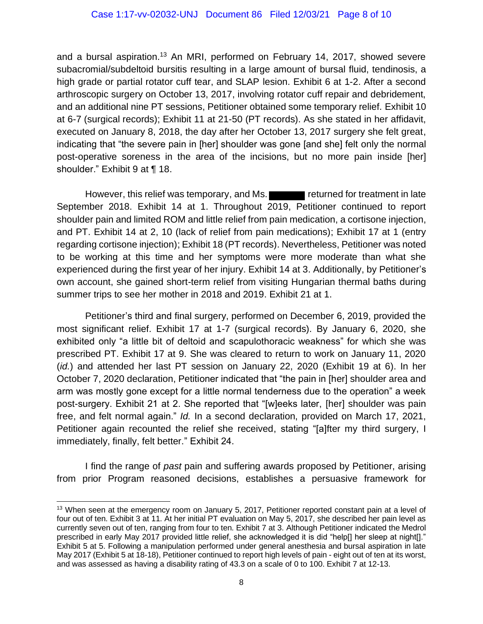and a bursal aspiration.<sup>13</sup> An MRI, performed on February 14, 2017, showed severe subacromial/subdeltoid bursitis resulting in a large amount of bursal fluid, tendinosis, a high grade or partial rotator cuff tear, and SLAP lesion. Exhibit 6 at 1-2. After a second arthroscopic surgery on October 13, 2017, involving rotator cuff repair and debridement, and an additional nine PT sessions, Petitioner obtained some temporary relief. Exhibit 10 at 6-7 (surgical records); Exhibit 11 at 21-50 (PT records). As she stated in her affidavit, executed on January 8, 2018, the day after her October 13, 2017 surgery she felt great, indicating that "the severe pain in [her] shoulder was gone [and she] felt only the normal post-operative soreness in the area of the incisions, but no more pain inside [her] shoulder." Exhibit 9 at ¶ 18.

However, this relief was temporary, and Ms. **Fig. 1.** returned for treatment in late September 2018. Exhibit 14 at 1. Throughout 2019, Petitioner continued to report shoulder pain and limited ROM and little relief from pain medication, a cortisone injection, and PT. Exhibit 14 at 2, 10 (lack of relief from pain medications); Exhibit 17 at 1 (entry regarding cortisone injection); Exhibit 18 (PT records). Nevertheless, Petitioner was noted to be working at this time and her symptoms were more moderate than what she experienced during the first year of her injury. Exhibit 14 at 3. Additionally, by Petitioner's own account, she gained short-term relief from visiting Hungarian thermal baths during summer trips to see her mother in 2018 and 2019. Exhibit 21 at 1.

Petitioner's third and final surgery, performed on December 6, 2019, provided the most significant relief. Exhibit 17 at 1-7 (surgical records). By January 6, 2020, she exhibited only "a little bit of deltoid and scapulothoracic weakness" for which she was prescribed PT. Exhibit 17 at 9. She was cleared to return to work on January 11, 2020 (*id.*) and attended her last PT session on January 22, 2020 (Exhibit 19 at 6). In her October 7, 2020 declaration, Petitioner indicated that "the pain in [her] shoulder area and arm was mostly gone except for a little normal tenderness due to the operation" a week post-surgery. Exhibit 21 at 2. She reported that "[w]eeks later, [her] shoulder was pain free, and felt normal again." *Id.* In a second declaration, provided on March 17, 2021, Petitioner again recounted the relief she received, stating "[a]fter my third surgery, I immediately, finally, felt better." Exhibit 24.

I find the range of *past* pain and suffering awards proposed by Petitioner, arising from prior Program reasoned decisions, establishes a persuasive framework for

<sup>&</sup>lt;sup>13</sup> When seen at the emergency room on January 5, 2017, Petitioner reported constant pain at a level of four out of ten. Exhibit 3 at 11. At her initial PT evaluation on May 5, 2017, she described her pain level as currently seven out of ten, ranging from four to ten. Exhibit 7 at 3. Although Petitioner indicated the Medrol prescribed in early May 2017 provided little relief, she acknowledged it is did "help[] her sleep at night[]." Exhibit 5 at 5. Following a manipulation performed under general anesthesia and bursal aspiration in late May 2017 (Exhibit 5 at 18-18), Petitioner continued to report high levels of pain - eight out of ten at its worst, and was assessed as having a disability rating of 43.3 on a scale of 0 to 100. Exhibit 7 at 12-13.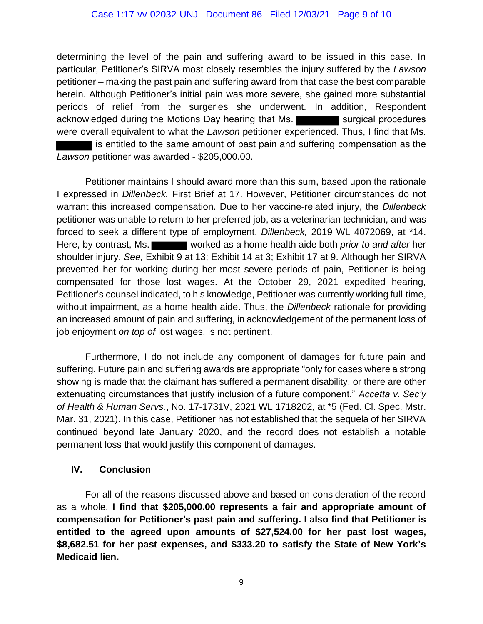determining the level of the pain and suffering award to be issued in this case. In particular, Petitioner's SIRVA most closely resembles the injury suffered by the *Lawson*  petitioner – making the past pain and suffering award from that case the best comparable herein*.* Although Petitioner's initial pain was more severe, she gained more substantial periods of relief from the surgeries she underwent. In addition, Respondent acknowledged during the Motions Day hearing that Ms. were overall equivalent to what the *Lawson* petitioner experienced. Thus, I find that Ms. is entitled to the same amount of past pain and suffering compensation as the *Lawson* petitioner was awarded - \$205,000.00.

Petitioner maintains I should award more than this sum, based upon the rationale I expressed in *Dillenbeck.* First Brief at 17. However, Petitioner circumstances do not warrant this increased compensation*.* Due to her vaccine-related injury, the *Dillenbeck*  petitioner was unable to return to her preferred job, as a veterinarian technician, and was forced to seek a different type of employment. *Dillenbeck,* 2019 WL 4072069, at \*14. Here, by contrast, Ms. worked as a home health aide both *prior to and after* her shoulder injury. *See,* Exhibit 9 at 13; Exhibit 14 at 3; Exhibit 17 at 9. Although her SIRVA prevented her for working during her most severe periods of pain, Petitioner is being compensated for those lost wages. At the October 29, 2021 expedited hearing, Petitioner's counsel indicated, to his knowledge, Petitioner was currently working full-time, without impairment, as a home health aide. Thus, the *Dillenbeck* rationale for providing an increased amount of pain and suffering, in acknowledgement of the permanent loss of job enjoyment *on top of* lost wages, is not pertinent.

Furthermore, I do not include any component of damages for future pain and suffering. Future pain and suffering awards are appropriate "only for cases where a strong showing is made that the claimant has suffered a permanent disability, or there are other extenuating circumstances that justify inclusion of a future component." *Accetta v. Sec'y of Health & Human Servs.*, No. 17-1731V, 2021 WL 1718202, at \*5 (Fed. Cl. Spec. Mstr. Mar. 31, 2021). In this case, Petitioner has not established that the sequela of her SIRVA continued beyond late January 2020, and the record does not establish a notable permanent loss that would justify this component of damages.

## **IV. Conclusion**

For all of the reasons discussed above and based on consideration of the record as a whole, **I find that \$205,000.00 represents a fair and appropriate amount of compensation for Petitioner's past pain and suffering. I also find that Petitioner is entitled to the agreed upon amounts of \$27,524.00 for her past lost wages, \$8,682.51 for her past expenses, and \$333.20 to satisfy the State of New York's Medicaid lien.**